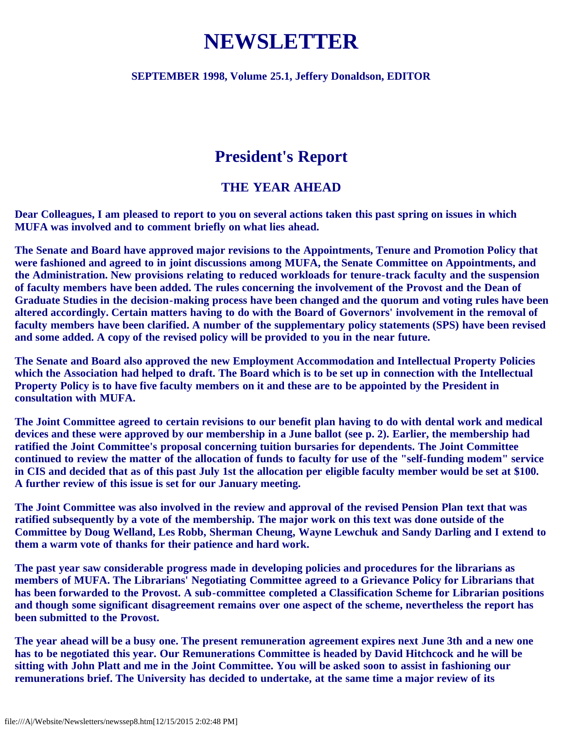# **NEWSLETTER**

#### **SEPTEMBER 1998, Volume 25.1, Jeffery Donaldson, EDITOR**

# **President's Report**

#### **THE YEAR AHEAD**

**Dear Colleagues, I am pleased to report to you on several actions taken this past spring on issues in which MUFA was involved and to comment briefly on what lies ahead.**

**The Senate and Board have approved major revisions to the Appointments, Tenure and Promotion Policy that were fashioned and agreed to in joint discussions among MUFA, the Senate Committee on Appointments, and the Administration. New provisions relating to reduced workloads for tenure-track faculty and the suspension of faculty members have been added. The rules concerning the involvement of the Provost and the Dean of Graduate Studies in the decision-making process have been changed and the quorum and voting rules have been altered accordingly. Certain matters having to do with the Board of Governors' involvement in the removal of faculty members have been clarified. A number of the supplementary policy statements (SPS) have been revised and some added. A copy of the revised policy will be provided to you in the near future.**

**The Senate and Board also approved the new Employment Accommodation and Intellectual Property Policies which the Association had helped to draft. The Board which is to be set up in connection with the Intellectual Property Policy is to have five faculty members on it and these are to be appointed by the President in consultation with MUFA.**

**The Joint Committee agreed to certain revisions to our benefit plan having to do with dental work and medical devices and these were approved by our membership in a June ballot (see p. 2). Earlier, the membership had ratified the Joint Committee's proposal concerning tuition bursaries for dependents. The Joint Committee continued to review the matter of the allocation of funds to faculty for use of the "self-funding modem" service in CIS and decided that as of this past July 1st the allocation per eligible faculty member would be set at \$100. A further review of this issue is set for our January meeting.**

**The Joint Committee was also involved in the review and approval of the revised Pension Plan text that was ratified subsequently by a vote of the membership. The major work on this text was done outside of the Committee by Doug Welland, Les Robb, Sherman Cheung, Wayne Lewchuk and Sandy Darling and I extend to them a warm vote of thanks for their patience and hard work.**

**The past year saw considerable progress made in developing policies and procedures for the librarians as members of MUFA. The Librarians' Negotiating Committee agreed to a Grievance Policy for Librarians that has been forwarded to the Provost. A sub-committee completed a Classification Scheme for Librarian positions and though some significant disagreement remains over one aspect of the scheme, nevertheless the report has been submitted to the Provost.**

**The year ahead will be a busy one. The present remuneration agreement expires next June 3th and a new one has to be negotiated this year. Our Remunerations Committee is headed by David Hitchcock and he will be sitting with John Platt and me in the Joint Committee. You will be asked soon to assist in fashioning our remunerations brief. The University has decided to undertake, at the same time a major review of its**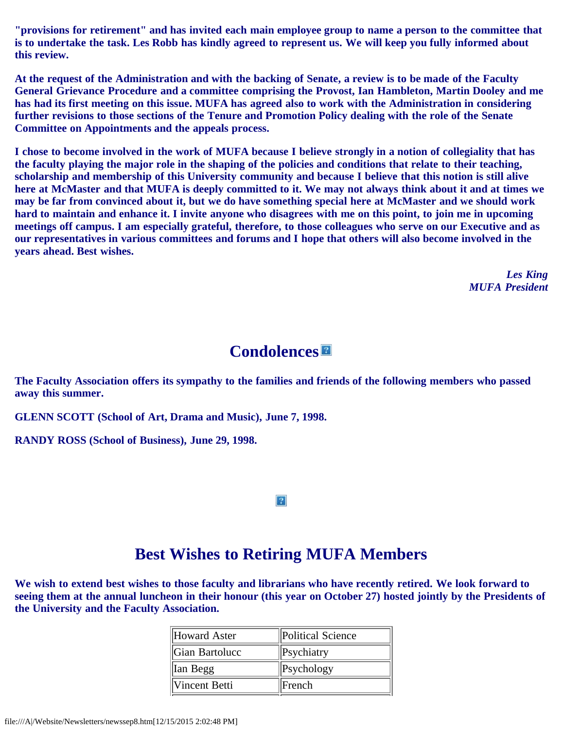**"provisions for retirement" and has invited each main employee group to name a person to the committee that is to undertake the task. Les Robb has kindly agreed to represent us. We will keep you fully informed about this review.**

**At the request of the Administration and with the backing of Senate, a review is to be made of the Faculty General Grievance Procedure and a committee comprising the Provost, Ian Hambleton, Martin Dooley and me has had its first meeting on this issue. MUFA has agreed also to work with the Administration in considering further revisions to those sections of the Tenure and Promotion Policy dealing with the role of the Senate Committee on Appointments and the appeals process.**

**I chose to become involved in the work of MUFA because I believe strongly in a notion of collegiality that has the faculty playing the major role in the shaping of the policies and conditions that relate to their teaching, scholarship and membership of this University community and because I believe that this notion is still alive here at McMaster and that MUFA is deeply committed to it. We may not always think about it and at times we may be far from convinced about it, but we do have something special here at McMaster and we should work hard to maintain and enhance it. I invite anyone who disagrees with me on this point, to join me in upcoming meetings off campus. I am especially grateful, therefore, to those colleagues who serve on our Executive and as our representatives in various committees and forums and I hope that others will also become involved in the years ahead. Best wishes.**

> *Les King MUFA President*

### **Condolences**

**The Faculty Association offers its sympathy to the families and friends of the following members who passed away this summer.**

**GLENN SCOTT (School of Art, Drama and Music), June 7, 1998.**

**RANDY ROSS (School of Business), June 29, 1998.**

 $\overline{?}$ 

# **Best Wishes to Retiring MUFA Members**

**We wish to extend best wishes to those faculty and librarians who have recently retired. We look forward to seeing them at the annual luncheon in their honour (this year on October 27) hosted jointly by the Presidents of the University and the Faculty Association.**

| Howard Aster         | Political Science |
|----------------------|-------------------|
| Gian Bartolucc       | $\ $ Psychiatry   |
| Ian Begg             | $\ $ Psychology   |
| <b>Vincent Betti</b> | French            |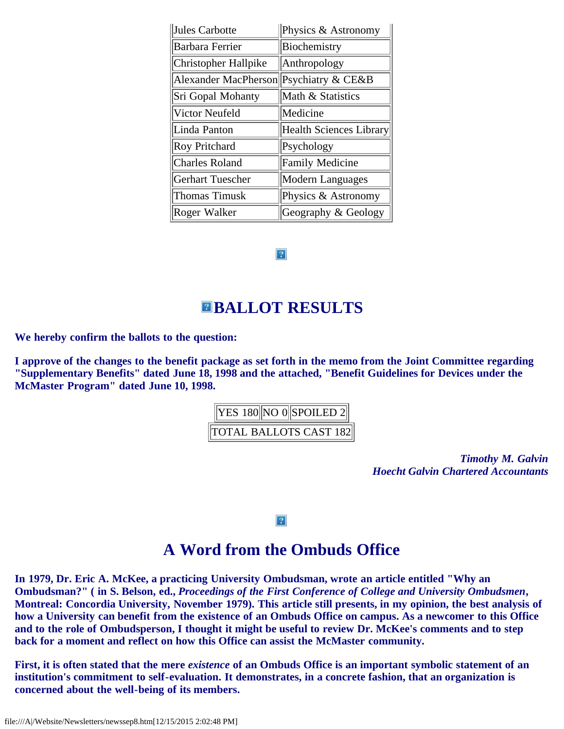| Jules Carbotte              | Physics & Astronomy     |
|-----------------------------|-------------------------|
| <b>Barbara Ferrier</b>      | Biochemistry            |
| Christopher Hallpike        | Anthropology            |
| <b>Alexander MacPherson</b> | Psychiatry & CE&B       |
| Sri Gopal Mohanty           | Math & Statistics       |
| Victor Neufeld              | Medicine                |
| Linda Panton                | Health Sciences Library |
| <b>Roy Pritchard</b>        | Psychology              |
| <b>Charles Roland</b>       | <b>Family Medicine</b>  |
| <b>Gerhart Tuescher</b>     | Modern Languages        |
|                             |                         |
| <b>Thomas Timusk</b>        | Physics & Astronomy     |

 $|2|$ 

### **BALLOT RESULTS**

**We hereby confirm the ballots to the question:**

**I approve of the changes to the benefit package as set forth in the memo from the Joint Committee regarding "Supplementary Benefits" dated June 18, 1998 and the attached, "Benefit Guidelines for Devices under the McMaster Program" dated June 10, 1998.**



*Timothy M. Galvin Hoecht Galvin Chartered Accountants*

 $|2|$ 

### **A Word from the Ombuds Office**

**In 1979, Dr. Eric A. McKee, a practicing University Ombudsman, wrote an article entitled "Why an Ombudsman?" ( in S. Belson, ed.,** *Proceedings of the First Conference of College and University Ombudsmen***, Montreal: Concordia University, November 1979). This article still presents, in my opinion, the best analysis of how a University can benefit from the existence of an Ombuds Office on campus. As a newcomer to this Office and to the role of Ombudsperson, I thought it might be useful to review Dr. McKee's comments and to step back for a moment and reflect on how this Office can assist the McMaster community.**

**First, it is often stated that the mere** *existence* **of an Ombuds Office is an important symbolic statement of an institution's commitment to self-evaluation. It demonstrates, in a concrete fashion, that an organization is concerned about the well-being of its members.**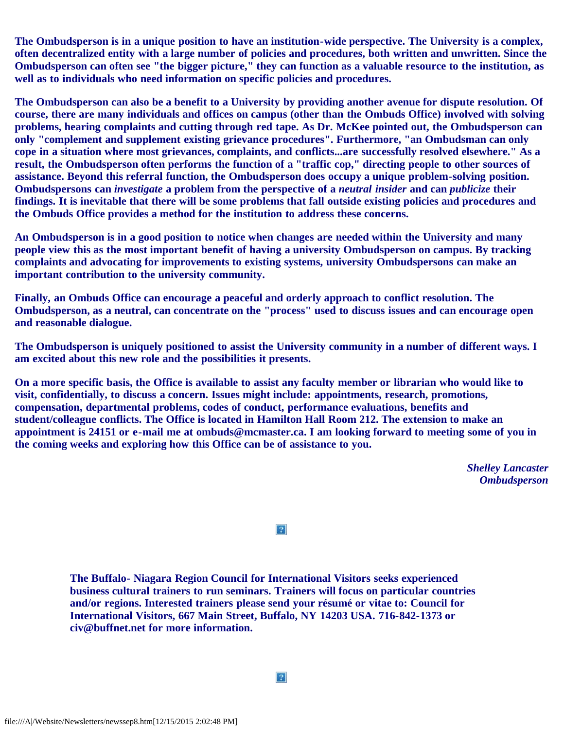**The Ombudsperson is in a unique position to have an institution-wide perspective. The University is a complex, often decentralized entity with a large number of policies and procedures, both written and unwritten. Since the Ombudsperson can often see "the bigger picture," they can function as a valuable resource to the institution, as well as to individuals who need information on specific policies and procedures.**

**The Ombudsperson can also be a benefit to a University by providing another avenue for dispute resolution. Of course, there are many individuals and offices on campus (other than the Ombuds Office) involved with solving problems, hearing complaints and cutting through red tape. As Dr. McKee pointed out, the Ombudsperson can only "complement and supplement existing grievance procedures". Furthermore, "an Ombudsman can only cope in a situation where most grievances, complaints, and conflicts...are successfully resolved elsewhere." As a result, the Ombudsperson often performs the function of a "traffic cop," directing people to other sources of assistance. Beyond this referral function, the Ombudsperson does occupy a unique problem-solving position. Ombudspersons can** *investigate* **a problem from the perspective of a** *neutral insider* **and can** *publicize* **their findings. It is inevitable that there will be some problems that fall outside existing policies and procedures and the Ombuds Office provides a method for the institution to address these concerns.**

**An Ombudsperson is in a good position to notice when changes are needed within the University and many people view this as the most important benefit of having a university Ombudsperson on campus. By tracking complaints and advocating for improvements to existing systems, university Ombudspersons can make an important contribution to the university community.**

**Finally, an Ombuds Office can encourage a peaceful and orderly approach to conflict resolution. The Ombudsperson, as a neutral, can concentrate on the "process" used to discuss issues and can encourage open and reasonable dialogue.**

**The Ombudsperson is uniquely positioned to assist the University community in a number of different ways. I am excited about this new role and the possibilities it presents.**

**On a more specific basis, the Office is available to assist any faculty member or librarian who would like to visit, confidentially, to discuss a concern. Issues might include: appointments, research, promotions, compensation, departmental problems, codes of conduct, performance evaluations, benefits and student/colleague conflicts. The Office is located in Hamilton Hall Room 212. The extension to make an appointment is 24151 or e-mail me at ombuds@mcmaster.ca. I am looking forward to meeting some of you in the coming weeks and exploring how this Office can be of assistance to you.**

> *Shelley Lancaster Ombudsperson*

 $|2|$ 

**The Buffalo- Niagara Region Council for International Visitors seeks experienced business cultural trainers to run seminars. Trainers will focus on particular countries and/or regions. Interested trainers please send your résumé or vitae to: Council for International Visitors, 667 Main Street, Buffalo, NY 14203 USA. 716-842-1373 or civ@buffnet.net for more information.**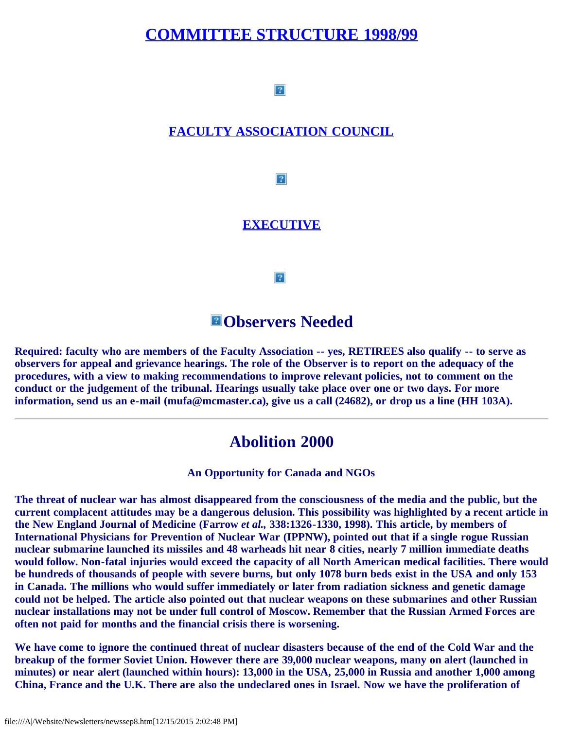### **[COMMITTEE STRUCTURE 1998/99](file:///A|/Website/Newsletters/committe.htm)**

 $|2|$ 

#### **[FACULTY ASSOCIATION COUNCIL](file:///A|/Website/Newsletters/council.htm)**

 $|2|$ 

#### **[EXECUTIVE](file:///A|/Website/Newsletters/newexec.htm)**

 $|2|$ 

#### **Observers Needed**

**Required: faculty who are members of the Faculty Association -- yes, RETIREES also qualify -- to serve as observers for appeal and grievance hearings. The role of the Observer is to report on the adequacy of the procedures, with a view to making recommendations to improve relevant policies, not to comment on the conduct or the judgement of the tribunal. Hearings usually take place over one or two days. For more information, send us an e-mail (mufa@mcmaster.ca), give us a call (24682), or drop us a line (HH 103A).**

#### **Abolition 2000**

**An Opportunity for Canada and NGOs**

**The threat of nuclear war has almost disappeared from the consciousness of the media and the public, but the current complacent attitudes may be a dangerous delusion. This possibility was highlighted by a recent article in the New England Journal of Medicine (Farrow** *et al.,* **338:1326-1330, 1998). This article, by members of International Physicians for Prevention of Nuclear War (IPPNW), pointed out that if a single rogue Russian nuclear submarine launched its missiles and 48 warheads hit near 8 cities, nearly 7 million immediate deaths would follow. Non-fatal injuries would exceed the capacity of all North American medical facilities. There would be hundreds of thousands of people with severe burns, but only 1078 burn beds exist in the USA and only 153 in Canada. The millions who would suffer immediately or later from radiation sickness and genetic damage could not be helped. The article also pointed out that nuclear weapons on these submarines and other Russian nuclear installations may not be under full control of Moscow. Remember that the Russian Armed Forces are often not paid for months and the financial crisis there is worsening.**

**We have come to ignore the continued threat of nuclear disasters because of the end of the Cold War and the breakup of the former Soviet Union. However there are 39,000 nuclear weapons, many on alert (launched in minutes) or near alert (launched within hours): 13,000 in the USA, 25,000 in Russia and another 1,000 among China, France and the U.K. There are also the undeclared ones in Israel. Now we have the proliferation of**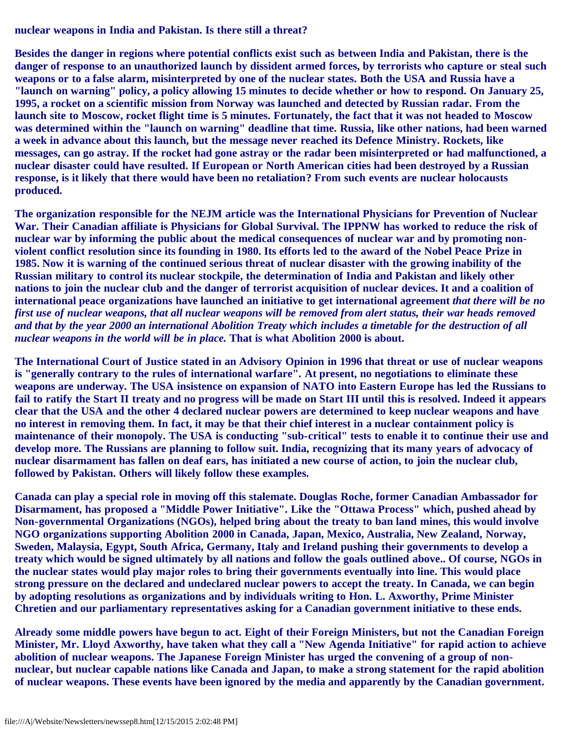**nuclear weapons in India and Pakistan. Is there still a threat?**

**Besides the danger in regions where potential conflicts exist such as between India and Pakistan, there is the danger of response to an unauthorized launch by dissident armed forces, by terrorists who capture or steal such weapons or to a false alarm, misinterpreted by one of the nuclear states. Both the USA and Russia have a "launch on warning" policy, a policy allowing 15 minutes to decide whether or how to respond. On January 25, 1995, a rocket on a scientific mission from Norway was launched and detected by Russian radar. From the launch site to Moscow, rocket flight time is 5 minutes. Fortunately, the fact that it was not headed to Moscow was determined within the "launch on warning" deadline that time. Russia, like other nations, had been warned a week in advance about this launch, but the message never reached its Defence Ministry. Rockets, like messages, can go astray. If the rocket had gone astray or the radar been misinterpreted or had malfunctioned, a nuclear disaster could have resulted. If European or North American cities had been destroyed by a Russian response, is it likely that there would have been no retaliation? From such events are nuclear holocausts produced.**

**The organization responsible for the NEJM article was the International Physicians for Prevention of Nuclear War. Their Canadian affiliate is Physicians for Global Survival. The IPPNW has worked to reduce the risk of nuclear war by informing the public about the medical consequences of nuclear war and by promoting nonviolent conflict resolution since its founding in 1980. Its efforts led to the award of the Nobel Peace Prize in 1985. Now it is warning of the continued serious threat of nuclear disaster with the growing inability of the Russian military to control its nuclear stockpile, the determination of India and Pakistan and likely other nations to join the nuclear club and the danger of terrorist acquisition of nuclear devices. It and a coalition of international peace organizations have launched an initiative to get international agreement** *that there will be no first use of nuclear weapons, that all nuclear weapons will be removed from alert status, their war heads removed and that by the year 2000 an international Abolition Treaty which includes a timetable for the destruction of all nuclear weapons in the world will be in place.* **That is what Abolition 2000 is about.**

**The International Court of Justice stated in an Advisory Opinion in 1996 that threat or use of nuclear weapons is "generally contrary to the rules of international warfare". At present, no negotiations to eliminate these weapons are underway. The USA insistence on expansion of NATO into Eastern Europe has led the Russians to fail to ratify the Start II treaty and no progress will be made on Start III until this is resolved. Indeed it appears clear that the USA and the other 4 declared nuclear powers are determined to keep nuclear weapons and have no interest in removing them. In fact, it may be that their chief interest in a nuclear containment policy is maintenance of their monopoly. The USA is conducting "sub-critical" tests to enable it to continue their use and develop more. The Russians are planning to follow suit. India, recognizing that its many years of advocacy of nuclear disarmament has fallen on deaf ears, has initiated a new course of action, to join the nuclear club, followed by Pakistan. Others will likely follow these examples.**

**Canada can play a special role in moving off this stalemate. Douglas Roche, former Canadian Ambassador for Disarmament, has proposed a "Middle Power Initiative". Like the "Ottawa Process" which, pushed ahead by Non-governmental Organizations (NGOs), helped bring about the treaty to ban land mines, this would involve NGO organizations supporting Abolition 2000 in Canada, Japan, Mexico, Australia, New Zealand, Norway, Sweden, Malaysia, Egypt, South Africa, Germany, Italy and Ireland pushing their governments to develop a treaty which would be signed ultimately by all nations and follow the goals outlined above.. Of course, NGOs in the nuclear states would play major roles to bring their governments eventually into line. This would place strong pressure on the declared and undeclared nuclear powers to accept the treaty. In Canada, we can begin by adopting resolutions as organizations and by individuals writing to Hon. L. Axworthy, Prime Minister Chretien and our parliamentary representatives asking for a Canadian government initiative to these ends.**

**Already some middle powers have begun to act. Eight of their Foreign Ministers, but not the Canadian Foreign Minister, Mr. Lloyd Axworthy, have taken what they call a "New Agenda Initiative" for rapid action to achieve abolition of nuclear weapons. The Japanese Foreign Minister has urged the convening of a group of nonnuclear, but nuclear capable nations like Canada and Japan, to make a strong statement for the rapid abolition of nuclear weapons. These events have been ignored by the media and apparently by the Canadian government.**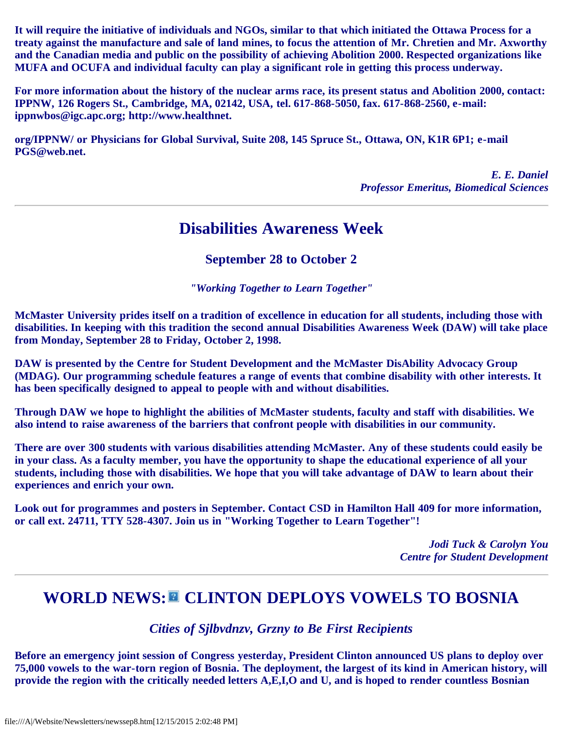**It will require the initiative of individuals and NGOs, similar to that which initiated the Ottawa Process for a treaty against the manufacture and sale of land mines, to focus the attention of Mr. Chretien and Mr. Axworthy and the Canadian media and public on the possibility of achieving Abolition 2000. Respected organizations like MUFA and OCUFA and individual faculty can play a significant role in getting this process underway.**

**For more information about the history of the nuclear arms race, its present status and Abolition 2000, contact: IPPNW, 126 Rogers St., Cambridge, MA, 02142, USA, tel. 617-868-5050, fax. 617-868-2560, e-mail: ippnwbos@igc.apc.org; http://www.healthnet.**

**org/IPPNW/ or Physicians for Global Survival, Suite 208, 145 Spruce St., Ottawa, ON, K1R 6P1; e-mail PGS@web.net.**

> *E. E. Daniel Professor Emeritus, Biomedical Sciences*

# **Disabilities Awareness Week**

**September 28 to October 2**

*"Working Together to Learn Together"*

**McMaster University prides itself on a tradition of excellence in education for all students, including those with disabilities. In keeping with this tradition the second annual Disabilities Awareness Week (DAW) will take place from Monday, September 28 to Friday, October 2, 1998.**

**DAW is presented by the Centre for Student Development and the McMaster DisAbility Advocacy Group (MDAG). Our programming schedule features a range of events that combine disability with other interests. It has been specifically designed to appeal to people with and without disabilities.**

**Through DAW we hope to highlight the abilities of McMaster students, faculty and staff with disabilities. We also intend to raise awareness of the barriers that confront people with disabilities in our community.**

**There are over 300 students with various disabilities attending McMaster. Any of these students could easily be in your class. As a faculty member, you have the opportunity to shape the educational experience of all your students, including those with disabilities. We hope that you will take advantage of DAW to learn about their experiences and enrich your own.**

**Look out for programmes and posters in September. Contact CSD in Hamilton Hall 409 for more information, or call ext. 24711, TTY 528-4307. Join us in "Working Together to Learn Together"!**

> *Jodi Tuck & Carolyn You Centre for Student Development*

# WORLD NEWS:<sup>2</sup> CLINTON DEPLOYS VOWELS TO BOSNIA

*Cities of Sjlbvdnzv, Grzny to Be First Recipients*

**Before an emergency joint session of Congress yesterday, President Clinton announced US plans to deploy over 75,000 vowels to the war-torn region of Bosnia. The deployment, the largest of its kind in American history, will provide the region with the critically needed letters A,E,I,O and U, and is hoped to render countless Bosnian**